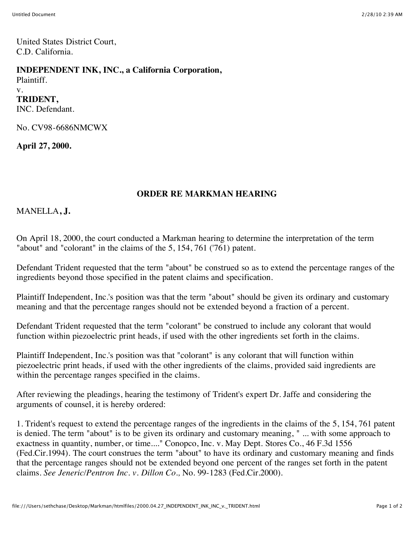United States District Court, C.D. California.

## **INDEPENDENT INK, INC., a California Corporation,**

Plaintiff. v. **TRIDENT,**

INC. Defendant.

No. CV98-6686NMCWX

**April 27, 2000.**

## **ORDER RE MARKMAN HEARING**

MANELLA**, J.**

On April 18, 2000, the court conducted a Markman hearing to determine the interpretation of the term "about" and "colorant" in the claims of the 5, 154, 761 ('761) patent.

Defendant Trident requested that the term "about" be construed so as to extend the percentage ranges of the ingredients beyond those specified in the patent claims and specification.

Plaintiff Independent, Inc.'s position was that the term "about" should be given its ordinary and customary meaning and that the percentage ranges should not be extended beyond a fraction of a percent.

Defendant Trident requested that the term "colorant" be construed to include any colorant that would function within piezoelectric print heads, if used with the other ingredients set forth in the claims.

Plaintiff Independent, Inc.'s position was that "colorant" is any colorant that will function within piezoelectric print heads, if used with the other ingredients of the claims, provided said ingredients are within the percentage ranges specified in the claims.

After reviewing the pleadings, hearing the testimony of Trident's expert Dr. Jaffe and considering the arguments of counsel, it is hereby ordered:

1. Trident's request to extend the percentage ranges of the ingredients in the claims of the 5, 154, 761 patent is denied. The term "about" is to be given its ordinary and customary meaning, " ... with some approach to exactness in quantity, number, or time...." Conopco, Inc. v. May Dept. Stores Co., 46 F.3d 1556 (Fed.Cir.1994). The court construes the term "about" to have its ordinary and customary meaning and finds that the percentage ranges should not be extended beyond one percent of the ranges set forth in the patent claims. *See Jeneric/Pentron Inc. v. Dillon Co.,* No. 99-1283 (Fed.Cir.2000).